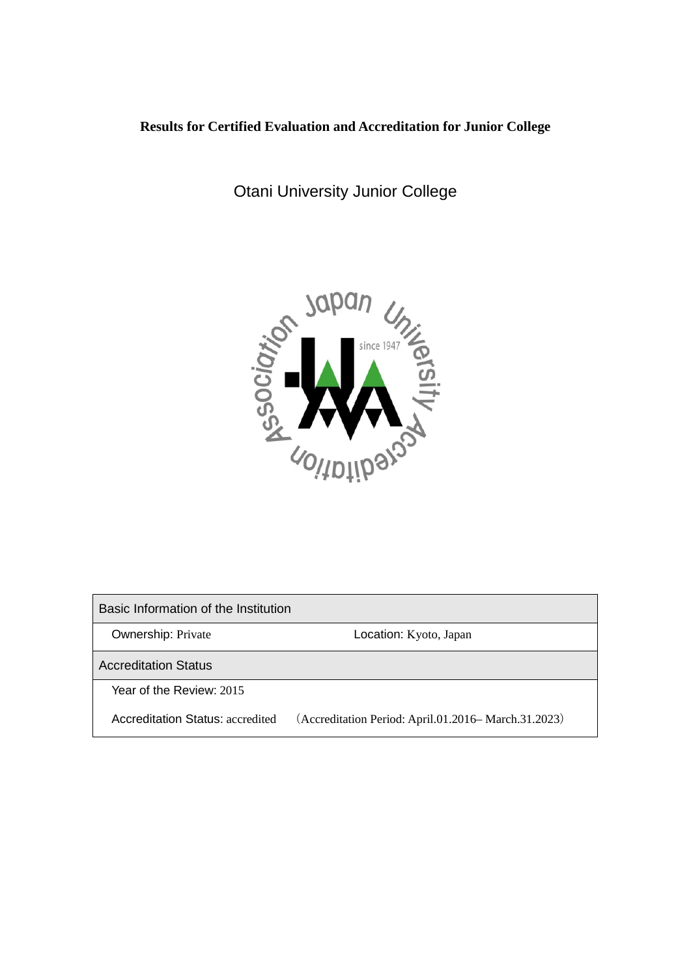# **Results for Certified Evaluation and Accreditation for Junior College**

Otani University Junior College



Basic Information of the Institution Ownership: Private **Location: Kyoto, Japan** Accreditation Status Year of the Review: 2015 Accreditation Status: accredited (Accreditation Period: April.01.2016– March.31.2023)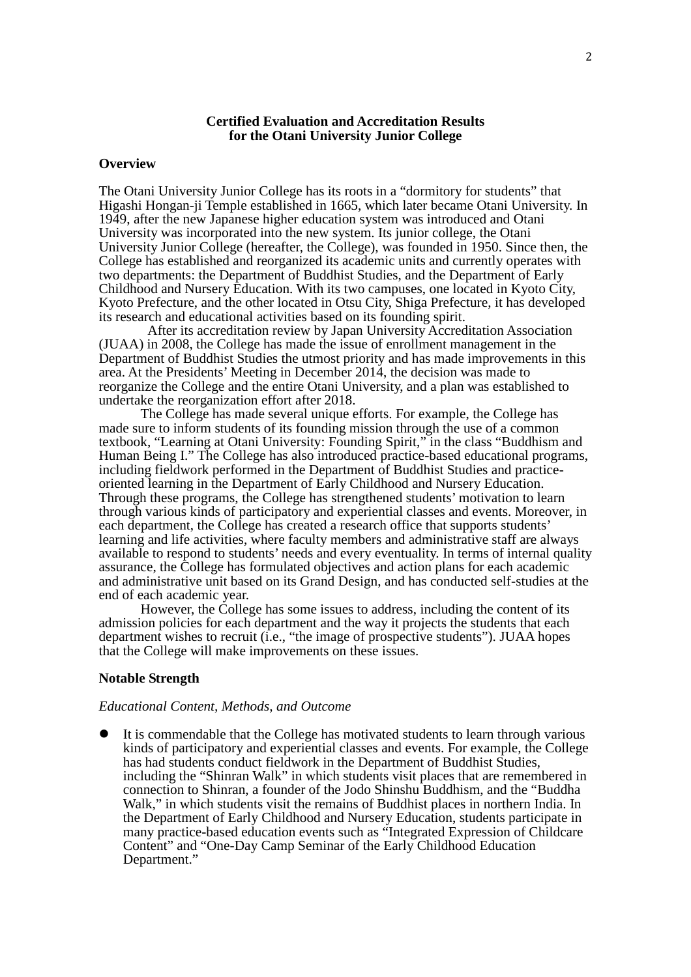### **Certified Evaluation and Accreditation Results for the Otani University Junior College**

#### **Overview**

The Otani University Junior College has its roots in a "dormitory for students" that Higashi Hongan-ji Temple established in 1665, which later became Otani University. In 1949, after the new Japanese higher education system was introduced and Otani University was incorporated into the new system. Its junior college, the Otani University Junior College (hereafter, the College), was founded in 1950. Since then, the College has established and reorganized its academic units and currently operates with two departments: the Department of Buddhist Studies, and the Department of Early Childhood and Nursery Education. With its two campuses, one located in Kyoto City, Kyoto Prefecture, and the other located in Otsu City, Shiga Prefecture, it has developed its research and educational activities based on its founding spirit.

After its accreditation review by Japan University Accreditation Association (JUAA) in 2008, the College has made the issue of enrollment management in the Department of Buddhist Studies the utmost priority and has made improvements in this area. At the Presidents' Meeting in December 2014, the decision was made to reorganize the College and the entire Otani University, and a plan was established to undertake the reorganization effort after 2018.

The College has made several unique efforts. For example, the College has made sure to inform students of its founding mission through the use of a common textbook, "Learning at Otani University: Founding Spirit," in the class "Buddhism and Human Being I." The College has also introduced practice-based educational programs, including fieldwork performed in the Department of Buddhist Studies and practiceoriented learning in the Department of Early Childhood and Nursery Education. Through these programs, the College has strengthened students' motivation to learn through various kinds of participatory and experiential classes and events. Moreover, in each department, the College has created a research office that supports students' learning and life activities, where faculty members and administrative staff are always available to respond to students' needs and every eventuality. In terms of internal quality assurance, the College has formulated objectives and action plans for each academic and administrative unit based on its Grand Design, and has conducted self-studies at the end of each academic year.

However, the College has some issues to address, including the content of its admission policies for each department and the way it projects the students that each department wishes to recruit (i.e., "the image of prospective students"). JUAA hopes that the College will make improvements on these issues.

# **Notable Strength**

#### *Educational Content, Methods, and Outcome*

 It is commendable that the College has motivated students to learn through various kinds of participatory and experiential classes and events. For example, the College has had students conduct fieldwork in the Department of Buddhist Studies, including the "Shinran Walk" in which students visit places that are remembered in connection to Shinran, a founder of the Jodo Shinshu Buddhism, and the "Buddha Walk," in which students visit the remains of Buddhist places in northern India. In the Department of Early Childhood and Nursery Education, students participate in many practice-based education events such as "Integrated Expression of Childcare Content" and "One-Day Camp Seminar of the Early Childhood Education Department."